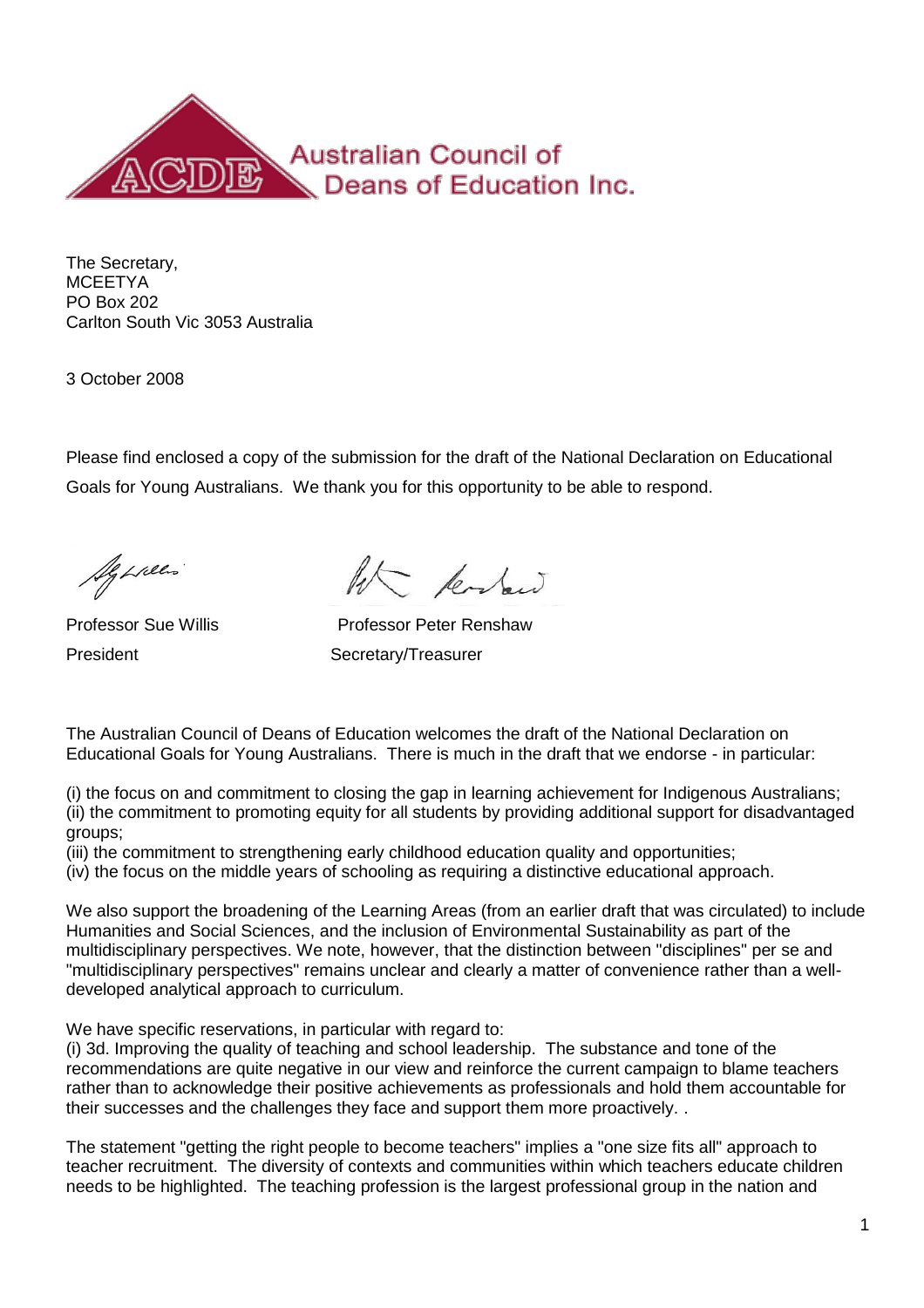

The Secretary, **MCEETYA** PO Box 202 Carlton South Vic 3053 Australia

3 October 2008

Please find enclosed a copy of the submission for the draft of the National Declaration on Educational Goals for Young Australians. We thank you for this opportunity to be able to respond.

Agenees

Kerber

Professor Sue Willis Professor Peter Renshaw President Secretary/Treasurer

The Australian Council of Deans of Education welcomes the draft of the National Declaration on Educational Goals for Young Australians. There is much in the draft that we endorse - in particular:

(i) the focus on and commitment to closing the gap in learning achievement for Indigenous Australians; (ii) the commitment to promoting equity for all students by providing additional support for disadvantaged groups;

(iii) the commitment to strengthening early childhood education quality and opportunities;

(iv) the focus on the middle years of schooling as requiring a distinctive educational approach.

We also support the broadening of the Learning Areas (from an earlier draft that was circulated) to include Humanities and Social Sciences, and the inclusion of Environmental Sustainability as part of the multidisciplinary perspectives. We note, however, that the distinction between "disciplines" per se and "multidisciplinary perspectives" remains unclear and clearly a matter of convenience rather than a welldeveloped analytical approach to curriculum.

We have specific reservations, in particular with regard to:

(i) 3d. Improving the quality of teaching and school leadership. The substance and tone of the recommendations are quite negative in our view and reinforce the current campaign to blame teachers rather than to acknowledge their positive achievements as professionals and hold them accountable for their successes and the challenges they face and support them more proactively. .

The statement "getting the right people to become teachers" implies a "one size fits all" approach to teacher recruitment. The diversity of contexts and communities within which teachers educate children needs to be highlighted. The teaching profession is the largest professional group in the nation and